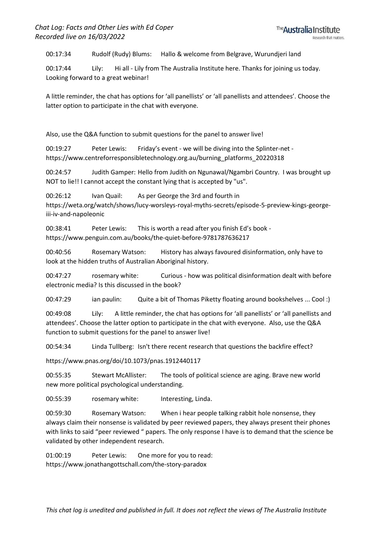00:17:34 Rudolf (Rudy) Blums: Hallo & welcome from Belgrave, Wurundjeri land

00:17:44 Lily: Hi all - Lily from The Australia Institute here. Thanks for joining us today. Looking forward to a great webinar!

A little reminder, the chat has options for 'all panellists' or 'all panellists and attendees'. Choose the latter option to participate in the chat with everyone.

Also, use the Q&A function to submit questions for the panel to answer live!

00:19:27 Peter Lewis: Friday's event - we will be diving into the Splinter-net https://www.centreforresponsibletechnology.org.au/burning\_platforms\_20220318

00:24:57 Judith Gamper: Hello from Judith on Ngunawal/Ngambri Country. I was brought up NOT to lie!! I cannot accept the constant lying that is accepted by "us".

00:26:12 Ivan Quail: As per George the 3rd and fourth in https://weta.org/watch/shows/lucy-worsleys-royal-myths-secrets/episode-5-preview-kings-georgeiii-iv-and-napoleonic

00:38:41 Peter Lewis: This is worth a read after you finish Ed's book https://www.penguin.com.au/books/the-quiet-before-9781787636217

00:40:56 Rosemary Watson: History has always favoured disinformation, only have to look at the hidden truths of Australian Aboriginal history.

00:47:27 rosemary white: Curious - how was political disinformation dealt with before electronic media? Is this discussed in the book?

00:47:29 ian paulin: Quite a bit of Thomas Piketty floating around bookshelves ... Cool :)

00:49:08 Lily: A little reminder, the chat has options for 'all panellists' or 'all panellists and attendees'. Choose the latter option to participate in the chat with everyone. Also, use the Q&A function to submit questions for the panel to answer live!

00:54:34 Linda Tullberg: Isn't there recent research that questions the backfire effect?

https://www.pnas.org/doi/10.1073/pnas.1912440117

00:55:35 Stewart McAllister: The tools of political science are aging. Brave new world new more political psychological understanding.

00:55:39 rosemary white: Interesting, Linda.

00:59:30 Rosemary Watson: When i hear people talking rabbit hole nonsense, they always claim their nonsense is validated by peer reviewed papers, they always present their phones with links to said "peer reviewed " papers. The only response I have is to demand that the science be validated by other independent research.

01:00:19 Peter Lewis: One more for you to read: https://www.jonathangottschall.com/the-story-paradox